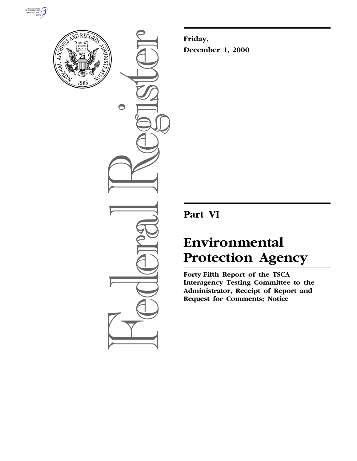



 $\bigcirc$ 

**Friday, December 1, 2000**

# **Part VI**

# **Environmental Protection Agency**

**Forty-Fifth Report of the TSCA Interagency Testing Committee to the Administrator, Receipt of Report and Request for Comments; Notice**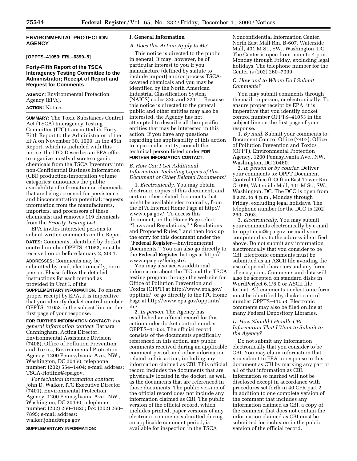# **ENVIRONMENTAL PROTECTION AGENCY**

# **[OPPTS–41053; FRL–6399–5]**

# **Forty-Fifth Report of the TSCA Interagency Testing Committee to the Administrator; Receipt of Report and Request for Comments**

**AGENCY:** Environmental Protection Agency (EPA).

# **ACTION:** Notice.

**SUMMARY:** The Toxic Substances Control Act (TSCA) Interagency Testing Committee (ITC) transmitted its Forty-Fifth Report to the Administrator of the EPA on November 30, 1999. In the 45th Report, which is included with this notice, the ITC: Describes an EPA effort to organize mostly discrete organic chemicals from the TSCA Inventory into non-Confidential Business Information (CBI) production/importation volume categories; announces the public availability of information on chemicals that are being screened for persistence and bioconcentration potential; requests information from the manufacturers, importers, and processors of these chemicals; and removes 119 chemicals from the *Priority Testing List*.

EPA invites interested persons to submit written comments on the Report. **DATES:** Comments, identified by docket control number OPPTS–41053, must be received on or before January 2, 2001.

**ADDRESSES:** Comments may be submitted by mail, electronically, or in person. Please follow the detailed instructions for each method as provided in Unit I. of the

**SUPPLEMENTARY INFORMATION**. To ensure proper receipt by EPA, it is imperative that you identify docket control number OPPTS–41053 in the subject line on the first page of your response.

**FOR FURTHER INFORMATION CONTACT:** *For general information contact*: Barbara Cunningham, Acting Director, Environmental Assistance Division (7408), Office of Pollution Prevention and Toxics, Environmental Protection Agency, 1200 Pennsylvania Ave., NW., Washington, DC 20460; telephone number: (202) 554–1404; e-mail address: TSCA-Hotline@epa.gov.

*For technical information contact*: John D. Walker, ITC Executive Director (7401), Environmental Protection Agency, 1200 Pennsylvania Ave., NW., Washington, DC 20460; telephone number: (202) 260–1825; fax: (202) 260– 7895; e-mail address: walker.johnd@epa.gov

**SUPPLEMENTARY INFORMATION:**

#### **I. General Information**

#### *A. Does this Action Apply to Me?*

This notice is directed to the public in general. It may, however, be of particular interest to you if you manufacture (defined by statute to include import) and/or process TSCAcovered chemicals and you may be identified by the North American Industrial Classification System (NAICS) codes 325 and 32411. Because this notice is directed to the general public and other entities may also be interested, the Agency has not attempted to describe all the specific entities that may be interested in this action. If you have any questions regarding the applicability of this action to a particular entity, consult the technical person listed under **FOR FURTHER INFORMATION CONTACT**.

*B. How Can I Get Additional Information, Including Copies of this Document or Other Related Documents?*

1. *Electronically*. You may obtain electronic copies of this document, and certain other related documents that might be available electronically, from the EPA Internet Home Page at http:// www.epa.gov/. To access this document, on the Home Page select ''Laws and Regulations,'' ''Regulations and Proposed Rules,'' and then look up the entry for this document under the ''**Federal Register**—Environmental Documents.'' You can also go directly to the **Federal Register** listings at http:// www.epa.gov/fedrgstr/.

You may also access additional information about the ITC and the TSCA testing program through the web site for Office of Pollution Prevention and Toxics (OPPT) at http://www.epa.gov/ opptintr/, or go directly to the ITC Home Page at http://www.epa.gov/opptintr/ itc/.

2. *In person*. The Agency has established an official record for this action under docket control number OPPTS–41053. The official record consists of the documents specifically referenced in this action, any public comments received during an applicable comment period, and other information related to this action, including any information claimed as CBI. This official record includes the documents that are physically located in the docket, as well as the documents that are referenced in those documents. The public version of the official record does not include any information claimed as CBI. The public version of the official record, which includes printed, paper versions of any electronic comments submitted during an applicable comment period, is available for inspection in the TSCA

Nonconfidential Information Center, North East Mall Rm. B-607, Waterside Mall, 401 M St., SW., Washington, DC. The Center is open from noon to 4 p.m., Monday through Friday, excluding legal holidays. The telephone number for the Center is (202) 260–7099.

# *C. How and to Whom Do I Submit Comments?*

You may submit comments through the mail, in person, or electronically. To ensure proper receipt by EPA, it is imperative that you identify docket control number OPPTS–41053 in the subject line on the first page of your response.

1. *By mail*. Submit your comments to: Document Control Office (7407), Office of Pollution Prevention and Toxics (OPPT), Environmental Protection Agency, 1200 Pennsylvania Ave., NW., Washington, DC 20460.

2. *In person or by courier*. Deliver your comments to: OPPT Document Control Office (DCO) in East Tower Rm. G–099, Waterside Mall, 401 M St., SW., Washington, DC. The DCO is open from 8 a.m. to 4 p.m., Monday through Friday, excluding legal holidays. The telephone number for the DCO is (202) 260–7093.

3. *Electronically*. You may submit your comments electronically by e-mail to: oppt.ncic@epa.gov, or mail your computer disk to the address identified above. Do not submit any information electronically that you consider to be CBI. Electronic comments must be submitted as an ASCII file avoiding the use of special characters and any form of encryption. Comments and data will also be accepted on standard disks in WordPerfect 6.1/8.0 or ASCII file format. All comments in electronic form must be identified by docket control number OPPTS–41053. Electronic comments may also be filed online at many Federal Depository Libraries.

# *D. How Should I Handle CBI Information That I Want to Submit to the Agency?*

Do not submit any information electronically that you consider to be CBI. You may claim information that you submit to EPA in response to this document as CBI by marking any part or all of that information as CBI. Information so marked will not be disclosed except in accordance with procedures set forth in 40 CFR part 2. In addition to one complete version of the comment that includes any information claimed as CBI, a copy of the comment that does not contain the information claimed as CBI must be submitted for inclusion in the public version of the official record.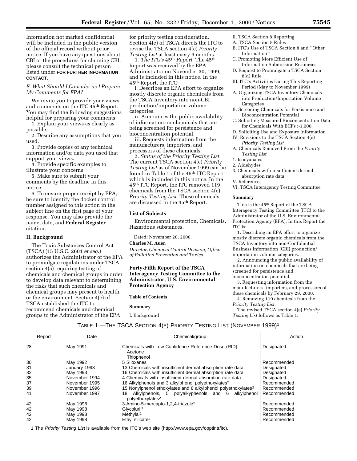Information not marked confidential will be included in the public version of the official record without prior notice. If you have any questions about CBI or the procedures for claiming CBI, please consult the technical person listed under **FOR FURTHER INFORMATION CONTACT**.

# *E. What Should I Consider as I Prepare My Comments for EPA?*

We invite you to provide your views and comments on the ITC 45th Report. You may find the following suggestions helpful for preparing your comments:

1. Explain your views as clearly as possible.

2. Describe any assumptions that you used.

3. Provide copies of any technical information and/or data you used that support your views.

4. Provide specific examples to illustrate your concerns.

5. Make sure to submit your comments by the deadline in this notice.

6. To ensure proper receipt by EPA, be sure to identify the docket control number assigned to this action in the subject line on the first page of your response. You may also provide the name, date, and **Federal Register** citation.

# **II. Background**

The Toxic Substances Control Act (TSCA) (15 U.S.C. 2601 *et seq*.) authorizes the Administrator of the EPA to promulgate regulations under TSCA section 4(a) requiring testing of chemicals and chemical groups in order to develop data relevant to determining the risks that such chemicals and chemical groups may present to health or the environment. Section 4(e) of TSCA established the ITC to recommend chemicals and chemical groups to the Administrator of the EPA

for priority testing consideration. Section 4(e) of TSCA directs the ITC to revise the TSCA section 4(e) *Priority Testing List* at least every 6 months.

1. *The ITC's* 45th *Report*. The 45th Report was received by the EPA Administrator on November 30, 1999, and is included in this notice. In the 45th Report, the ITC:

i. Describes an EPA effort to organize mostly discrete organic chemicals from the TSCA Inventory into non-CBI production/importation volume categories.

ii. Announces the public availability of information on chemicals that are being screened for persistence and bioconcentration potential.

iii. Requests information from the manufacturers, importers, and processors of these chemicals.

2. *Status of the Priority Testing List*. The current TSCA section 4(e) *Priority Testing List* as of November 1999 can be found in Table 1 of the 45th ITC Report which is included in this notice. In the 45th ITC Report, the ITC removed 119 chemicals from the TSCA section 4(e) *Priority Testing List*. These chemicals are discussed in the 45th Report.

# **List of Subjects**

Environmental protection, Chemicals, Hazardous substances.

Dated: November 20, 2000.

#### **Charles M. Auer,**

*Director, Chemical Control Division, Office of Pollution Prevention and Toxics.*

# **Forty-Fifth Report of the TSCA Interagency Testing Committee to the Administrator, U.S. Environmental Protection Agency**

# **Table of Contents**

**Summary** I. Background

- II. TSCA Section 8 Reporting
- A. TSCA Section 8 Rules
- B. ITC's Use of TSCA Section 8 and ''Other Information''
- C. Promoting More Efficient Use of Information Submission Resources
- D. Request to Promulgate a TSCA Section 8(d) Rule
- III. ITC's Activities During This Reporting Period (May to November 1999)
- A. Organizing TSCA Inventory Chemicals into Production/Importation Volume Categories
- B. Screening Chemicals for Persistence and Bioconcentration Potential
- C. Soliciting Measured Bioconcentration Data for Chemicals With BCFs >1,000
- D. Soliciting Use and Exposure Information IV. Revisions to the TSCA Section 4(e) *Priority Testing List*
- A. Chemicals Removed From the *Priority Testing List*
- 1. Isocyanates
- 2. Aldehydes
- 3. Chemicals with insufficient dermal absorption rate data
- V. References

VI. TSCA Interagency Testing Committee

#### **Summary**

This is the 45th Report of the TSCA Interagency Testing Committee (ITC) to the Administrator of the U.S. Environmental Protection Agency (EPA). In this Report the ITC is:

1. Describing an EPA effort to organize mostly discrete organic chemicals from the TSCA Inventory into non-Confidential Business Information (CBI) production/ importation volume categories.

2. Announcing the public availability of information on chemicals that are being screened for persistence and bioconcentration potential.

3. Requesting information from the manufacturers, importers, and processors of these chemicals by February 29, 2000.

4. Removing 119 chemicals from the *Priority Testing List*.

The revised TSCA section 4(e) *Priority Testing List* follows as Table 1.

TABLE 1.—THE TSCA SECTION 4(E) PRIORITY TESTING LIST (NOVEMBER 1999)1

| Report | Date          | Chemical/group                                                                          | Action      |
|--------|---------------|-----------------------------------------------------------------------------------------|-------------|
| 28     | May 1991      | Chemicals with Low Confidence Reference Dose (RfD)<br>Acetone<br>Thiophenol             | Designated  |
| 30     | May 1992      | 5 Siloxanes                                                                             | Recommended |
| 31     | January 1993  | 13 Chemicals with insufficient dermal absorption rate data                              | Designated  |
| 32     | May 1993      | 16 Chemicals with insufficient dermal absorption rate data                              | Designated  |
| 35     | November 1994 | 4 Chemicals with insufficient dermal absorption rate data                               | Designated  |
| 37     | November 1995 | 16 Alkylphenols and 3 alkylphenol polyethoxylates <sup>2</sup>                          | Recommended |
| 39     | November 1996 | 15 Nonylphenol ethoxylates and 8 alkylphenol polyethoxylates <sup>2</sup>               | Recommended |
| 41     | November 1997 | Alkylphenols, 5 polyalkyphenols and 6 alkylphenol<br>18<br>polyethoxylates <sup>2</sup> | Recommended |
| 42     | May 1998      | 3-Amino-5-mercapto-1,2,4-triazole <sup>2</sup>                                          | Recommended |
| 42     | May 1998      | Glycoluril <sup>2</sup>                                                                 | Recommended |
| 42     | May 1998      | Methylal <sup>2</sup>                                                                   | Recommended |
| 42     | May 1998      | Ethyl silicate <sup>2</sup>                                                             | Recommended |
|        |               |                                                                                         |             |

1 The Priority Testing List is available from the ITC's web site (http://www.epa.gov/opptintr/itc).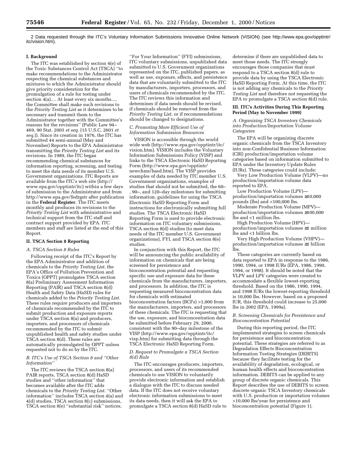2 Data requested through the ITC's Voluntary Information Submissions Innovative Online Network (VISION) (see http://www.epa.gov/opptintr/ itc/vision.htm).

# **I. Background**

The ITC was established by section 4(e) of the Toxic Substances Control Act (TSCA) ''to make recommendations to the Administrator respecting the chemical substances and mixtures to which the Administrator should give priority consideration for the promulgation of a rule for testing under section 4(a).... At least every six months..., the Committee shall make such revisions to the *Priority Testing List* as it determines to be necessary and transmit them to the Administrator together with the Committee's reasons for the revisions'' (Public Law 94– 469, 90 Stat. 2003 *et seq*. (15 U.S.C. 2601 *et seq*.)). Since its creation in 1976, the ITC has submitted 44 semi-annual (May and November) Reports to the EPA Administrator transmitting the *Priority Testing List* and its revisions. In 1989, the ITC began recommending chemical substances for information reporting, screening, and testing to meet the data needs of its member U.S. Government organizations. ITC Reports are available from the ITC's web site (http:// www.epa.gov/opptintr/itc) within a few days of submission to the Administrator and from http://www.epa.gov/fedrgstr after publication in the **Federal Register**. The ITC meets monthly and produces its revisions to the *Priority Testing List* with administrative and technical support from the ITC staff and contract support provided by EPA. ITC members and staff are listed at the end of this Report.

#### **II. TSCA Section 8 Reporting**

#### *A. TSCA Section 8 Rules*

Following receipt of the ITC's Report by the EPA Administrator and addition of chemicals to the *Priority Testing List*, the EPA's Office of Pollution Prevention and Toxics (OPPT) promulgates TSCA section 8(a) Preliminary Assessment Information Reporting (PAIR) and TSCA section 8(d) Health and Safety Data (HaSD) rules for chemicals added to the *Priority Testing List*. These rules require producers and importers of chemicals recommended by the ITC to submit production and exposure reports under TSCA section 8(a) and producers, importers, and processors of chemicals recommended by the ITC to submit unpublished health and safety studies under TSCA section 8(d). These rules are automatically promulgated by OPPT unless requested not to do so by the ITC.

#### *B. ITC's Use of TSCA Section 8 and ''Other Information''*

The ITC reviews the TSCA section 8(a) PAIR reports, TSCA section 8(d) HaSD studies and ''other information'' that becomes available after the ITC adds chemicals to the *Priority Testing List*. ''Other information'' includes TSCA section 4(a) and 4(d) studies, TSCA section 8(c) submissions, TSCA section 8(e) ''substantial risk'' notices,

''For Your Information'' (FYI) submissions, ITC voluntary submissions, unpublished data submitted to U.S. Government organizations represented on the ITC, published papers, as well as use, exposure, effects, and persistence data that are voluntarily submitted to the ITC by manufacturers, importers, processors, and users of chemicals recommended by the ITC. The ITC reviews this information and determines if data needs should be revised, if chemicals should be removed from the *Priority Testing List*, or if recommendations should be changed to designations.

#### *C. Promoting More Efficient Use of Information Submission Resources*

VISION is accessible through the world wide web (http://www.epa.gov/opptintr/itc/ vision.htm). VISION includes the Voluntary Information Submissions Policy (VISP) and links to the TSCA Electronic HaSD Reporting Form (http://www.epa.gov/opptintr/ newchms/hasd.htm). The VISP provides examples of data needed by ITC member U.S. Government organizations, examples of studies that should not be submitted, the 60– , 90–, and 120–day milestones for submitting information, guidelines for using the TSCA Electronic HaSD Reporting Form and instructions for electronically submitting full studies. The TSCA Electronic HaSD Reporting Form is used to provide electronic information on ITC voluntary submissions, TSCA section 8(d) studies (to meet data needs of the ITC member U.S. Government organizations), FYI, and TSCA section 8(e) studies.

In conjunction with this Report, the ITC will be announcing the public availability of information on chemicals that are being screened for persistence and bioconcentration potential and requesting specific use and exposure data for these chemicals from the manufacturers, importers, and processors. In addition, the ITC is requesting measured bioconcentration data for chemicals with estimated bioconcentration factors (BCFs) >1,000 from the manufacturers, importers, and processors of these chemicals. The ITC is requesting that the use, exposure, and bioconcentration data be submitted before February 29, 2000, consistent with the 90–day milestone of the VISP (http://www.epa.gov/opptintr/itc/ visp.htm) for submitting data through the TSCA Electronic HaSD Reporting Form.

#### *D. Request to Promulgate a TSCA Section 8(d) Rule*

The ITC encourages producers, importers, processors, and users of its recommended chemicals to use VISION to voluntarily provide electronic information and establish a dialogue with the ITC to discuss needed data. If the ITC does not receive voluntary electronic information submissions to meet its data needs, then it will ask the EPA to promulgate a TSCA section 8(d) HaSD rule to

determine if there are unpublished data to meet those needs. The ITC strongly encourages those companies that must respond to a TSCA section 8(d) rule to provide data by using the TSCA Electronic HaSD Reporting Form. At this time, the ITC is not adding any chemicals to the *Priority Testing List* and therefore not requesting the EPA to promulgate a TSCA section 8(d) rule.

#### **III. ITC's Activities During This Reporting Period (May to November 1999)**

#### *A. Organizing TSCA Inventory Chemicals into Production/Importation Volume Categories*

The EPA will be organizing discrete organic chemicals from the TSCA Inventory into non-Confidential Business Information (CBI) production/importation volume categories based on information submitted to EPA under the Inventory Update Rules (IURs). These categories could include:

Very Low Production Volume (VLPV)—no production/importation volume data reported to EPA.

Low Production Volume (LPV) production/importation volumes ≥10,000 pounds (lbs) and <100,000 lbs.

Moderate Production Volume (MPV) production/importation volumes ≥100,000 lbs and <1 million lbs.

High Production Volume (HPV) production/importation volumes ≥1 million lbs and <1 billion lbs.

Very High Production Volume (VHPV) production/importation volumes ≥1 billion lbs.

These categories are currently based on data reported to EPA in response to the 1986, 1990, 1994, or 1998 IURs (EPA, 1986, 1990, 1994, or 1998). It should be noted that the VLPV and LPV categories were created to accommodate a flexible lowest-reporting threshold. Based on the 1986, 1990, 1994, and 1998 IURs the lowest-reporting threshold is 10,000 lbs. However, based on a proposed IUR, this threshold could increase to 25,000 lbs in 2002 (EPA, 1999a).

#### *B. Screening Chemicals for Persistence and Bioconcentration Potential*

During this reporting period, the ITC implemented strategies to screen chemicals for persistence and bioconcentration potential. These strategies are referred to as Degradation Effects Bioconcentration Information Testing Strategies (DEBITS) because they facilitate testing for the availability of degradation, ecological, or human health effects and bioconcentration information. DEBITS can be applied to any group of discrete organic chemicals. This Report describes the use of DEBITS to screen discrete organic TSCA Inventory chemicals with U.S. production or importation volumes >10,000 lbs/year for persistence and bioconcentration potential (Figure 1).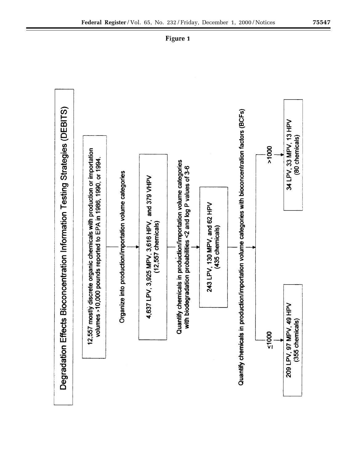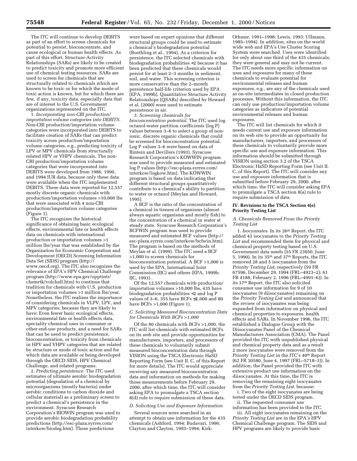The ITC will continue to develop DEBITS as part of an effort to screen chemicals for potential to persist, bioconcentrate, and cause ecological or human health effects. As part of this effort, Structure-Activity Relationships (SARs) are likely to be created to predict toxicity and promote more efficient use of chemical testing resources. SARs are used to screen for chemicals that are structurally related to chemicals which are known to be toxic or for which the mode of toxic action is known, but for which there are few, if any, toxicity data, especially data that are of interest to the U.S. Government organizations represented on the ITC.

1. *Incorporating non-CBI production/ importation volume categories into DEBITS*. Non-CBI production/importation volume categories were incorporated into DEBITS to facilitate creation of SARs that can predict toxicity across production/importation volume categories, e.g., predicting toxicity of LPV or MPV chemicals from structurally related HPV or VHPV chemicals. The non-CBI production/importation volume categories that were incorporated into DEBITS were developed from 1986, 1990, and 1994 IUR data, because only these data were available when the ITC implemented DEBITS. These data were reported for 12,557 mostly discrete organic chemicals with production/importation volumes >10,000 lbs that were associated with 4 non-CBI production/importation volume categories (Figure 1).

The ITC recognizes the historical significance of obtaining basic ecological effects, environmental fate or health effects data on chemicals with international production or importation volumes >1 million lbs/year that was established by the Organization for Economic Cooperation and Development (OECD) Screening Information Data Set (SIDS) program (http:// www.oecd.org). The ITC also recognizes the relevance of EPA's HPV Chemical Challenge program (http://www.epa.gov/opptintr/ chemrtk/volchall.htm) to continue that tradition for chemicals with U.S. production or importation volumes >1 million lbs/year. Nonetheless, the ITC realizes the importance of considering chemicals in VLPV, LPV, and MPV categories, because they are likely to have: Even fewer basic ecological effects, environmental fate or health effects data, speciality chemical uses in consumer or other end-use products, and a need for SARs that can be used to predict persistence, bioconcentration, or toxicity from chemicals in HPV and VHPV categories that are related by structure or mode of toxic action and for which data are available or being developed through the OECD SIDS, HPV Chemical Challenge, and related programs.

2. *Predicting persistence*. The ITC used estimates of ultimate aerobic biodegradation potential (degradation of a chemical by microorganisms (mostly bacteria) under aerobic conditions to carbon dioxide and cellular material) as a preliminary screen to predict a chemical's persistence in the environment. Syracuse Research Corporation's BIOWIN program was used to provide aerobic biodegradation probability predictions (http://esc-plaza.syrres.com/ interkow/biodeg.htm). These predictions

were based on expert opinions that different structural groups could be used to estimate a chemical's biodegradation potential (Boethling et al., 1994). As a criterion for persistence, the ITC selected chemicals with biodegradation probabilities <2 because it has been predicted that these chemicals would persist for at least 2–3 months in sediment, soil, and water. This screening criterion is more conservative than the 2–month persistence half-life criterion used by EPA (EPA, 1999b). Quantitative Structure Activity Relationships (QSARs) described by Howard et al. (2000) were used to estimate persistence in air.

3. *Screening chemicals for bioconcentration potential*. The ITC used log octanol-water partition coefficients (log P) values between 3–6 to select a group of nonionic, discrete organic chemicals that could be screened for bioconcentration potential. Log P values 3–6 were based on data of Bintein and Devillers (1993). Syracuse Research Corporation's KOWWIN program was used to provide measured and estimated log P values (http://esc-plaza.syrres.com/ interkow/logkow.htm). The KOWWIN program is based on data indicating that different structural groups quantitatively contribute to a chemical's ability to partition to water or octanol (Meylan and Howard, 1995).

A BCF is the ratio of the concentration of a chemical in tissues of organisms (almost always aquatic organisms and mostly fish) to the concentration of a chemical in water at steady state. Syracuse Research Corporation's BCFWIN program was used to provide measured and estimated BCF values (http:// esc-plaza.syrres.com/interkow/bcfwin.htm). The program is based on the methods of Meylan et al. (1999). The ITC used a BCF >1,000 to screen chemicals for bioconcentration potential. A BCF >1,000 is used by the EPA, International Joint Commission (IJC) and others (EPA, 1999b; IJC, 1993) .

Of the 12,557 chemicals with production/ importation volumes >10,000 lbs, 435 have biodegradation probabilities <2 and log P values of 3–6, 355 have BCFs  $\leq 1,000$  and 80 have BCFs >1,000 (Figure 1).

#### *C. Soliciting Measured Bioconcentration Data for Chemicals With BCFs >1,000*

Of the 80 chemicals with BCFs >1,000, the ITC will list chemicals with estimated BCFs on its web site and provide opportunities for manufacturers, importers, and processors of these chemicals to voluntarily submit measured bioconcentration data through VISION using the TSCA Electronic HaSD Reporting Form (see Unit II. C. of this Report for more details). The ITC would appreciate receiving any measured bioconcentration data and information on methods for making those measurements before February 29, 2000, after which time, the ITC will consider asking EPA to promulgate a TSCA section 8(d) rule to require submission of these data.

#### *D. Soliciting Use and Exposure Information*

Several sources were searched in an attempt to obtain use information for the 435 chemicals (Ashford, 1994; Budavari, 1996; Clayton and Clayton, 1993–1994; Kirk-

Othmer, 1991–1998; Lewis, 1993; Ullmann, 1985–1994). In addition, sites on the world wide web and EPA's Use Cluster Scoring System were searched. Uses were identified for only about one third of the 435 chemicals; they were general and may not be current. The ITC needs more specific information on uses and exposures for many of these chemicals to evaluate potential for environmental releases and human exposures, e.g., are any of the chemicals used as on-site intermediates in closed production processes. Without this information, the ITC can only use production/importation volume categories as indicators of potential environmental releases and human exposures.

The ITC will list chemicals for which it needs current use and exposure information on its web site to provide an opportunity for manufacturers, importers, and processors of these chemicals to voluntarily provide more specific use and exposure information. This information should be submitted through VISION using section 3.2 of the TSCA Electronic HaSD Reporting Form (see Unit II. C. of this Report). The ITC will consider any use and exposure information that is submitted before February 29, 2000, after which time, the ITC will consider asking EPA to promulgate a TSCA section 8(a) rule to require submission of data.

#### **IV. Revisions to the TSCA Section 4(e) Priority Testing List**

#### *A. Chemicals Removed From the Priority Testing List*

1. *Isocyanates*. In its 26th Report, the ITC added 43 isocyanates to the *Priority Testing List* and recommended them for physical and chemical property testing based on U.S. Government data needs (55 FR 23050, June 5, 1990). In its 35th and 37th Reports, the ITC removed 28 and 5 isocyanates from the *Priority Testing List*, respectively (59 FR 67596, December 29, 1994 (FRL–4923–2); 61 FR 4188, February 2, 1996 (FRL–4991–6)). In its 37th Report, the ITC also solicited consumer use information for 9 of 10 isocyanates (9 diisocyanates) remaining on the *Priority Testing List* and announced that the review of isocyanates was being expanded from information on physical and chemical properties to exposures, health effects and SARs. In November 1996, the ITC established a Dialogue Group with the Diisocyanates Panel of the Chemical Manufacturers Association (CMA). The Panel provided the ITC with unpublished physical and chemical property data and as a result 2 more isocyanates were removed from the *Priority Testing List* in the ITC's 40th Report (62 FR 30580, June 4, 1997 (FRL–5718–3)). In addition, the Panel provided the ITC with extensive product use information on the diisocyanates. At this time, the ITC is removing the remaining eight isocyanates from the *Priority Testing List*, because:

i. Two of the eight isocyanates are being tested under the OECD SIDS program. ii. The requested consumer use

information has been provided to the ITC. iii. All eight isocyanates remaining on the *Priority Testing List* are in the EPA's HPV Chemical Challenge program. The SIDS and HPV programs are likely to provide basic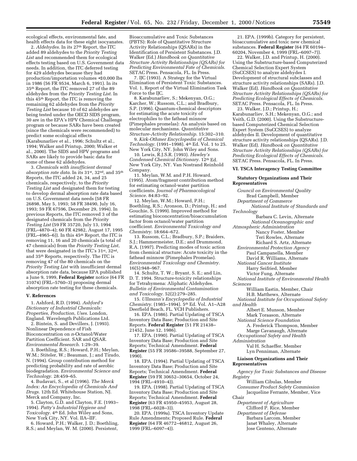ecological effects, environmental fate, and health effects data for these eight isocyanates.

2. *Aldehydes*. In its 27th Report, the ITC added 89 aldehydes to the *Priority Testing List* and recommended them for ecological effects testing based on U.S. Government data needs. In addition, the ITC deferred testing for 429 aldehydes because they had production/importation volumes <10,000 lbs in 1986 (56 FR 9534, March 6, 1991). In its 35th Report, the ITC removed 27 of the 89 aldehydes from the *Priority Testing List*. In this 45th Report, the ITC is removing the remaining 62 aldehydes from the *Priority Testing List* because 10 of 62 aldehydes are being tested under the OECD SIDS program, 30 are in the EPA's HPV Chemical Challenge program or because SARs have been created (since the chemicals were recommended) to predict some ecological effects (Karabunarliev et al., 1996; Schultz et al., 1994; Walker and Printup, 2000; Walker et al., 2000). The SIDS and HPV programs and SARs are likely to provide basic data for some of these 62 aldehydes.

3. *Chemicals with insufficient dermal absorption rate data*. In its 31st, 32nd, and 35th Reports, the ITC added 24, 34, and 25 chemicals, respectively, to the *Priority Testing List* and designated them for testing to develop dermal absorption rate data based on U.S. Government data needs (58 FR 26898, May 5, 1993; 58 FR 38490, July 16, 1993; 59 FR 67596, December 29, 1994). In previous Reports, the ITC removed 3 of the designated chemicals from the *Priority Testing List* (59 FR 35720, July 13, 1994 (FRL–4870–4); 60 FR 42982, August 17, 1995 (FRL–4965–6)). In this 45th Report, the ITC is removing 11, 16 and 20 chemicals (a total of 47 chemicals) from the *Priority Testing List*, that were designated in the ITC's 31st, 32nd, and 35th Reports, respectively. The ITC is removing 47 of the 80 chemicals on the *Priority Testing List* with insufficient dermal absorption rate data, because EPA published a June 9, 1999, **Federal Register** notice (64 FR 31074) (FRL–5760–3) proposing dermal absorption rate testing for these chemicals.

#### **V. References**

1. Ashford, R.D. (1994). *Ashford's Dictionary of Industrial Chemicals: Properties, Production, Uses*. London, England. Wavelength Publications Ltd.

2. Bintein, S. and Devillers, J. (1993). Nonlinear Dependence of Fish Bioconcentration on *n*-Octanol/Water Partition Coefficient. SAR and QSAR. *Environmental Research*. 1:29–39.

3. Boethling, R.S.; Howard, P.H.; Meylan, W.M.; Stiteler, W.; Beauman, J.; and Tirado, N. (1994). Group contribution method for predicting probability and rate of aerobic biodegradation. *Environmental Science and Technology*. 28:459–65.

4. Budavari, S., et al (1996). *The Merck Index: An Encyclopedia of Chemicals And Drugs*. 12th Ed. Whitehouse Station, NJ. Merck and Company, Inc.

5. Clayton, G.D. and Clayton, F.E. (1993– 1994). *Patty's Industrial Hygiene and Toxicology*. 4th Ed. John Wiley and Sons, New York City, NY. Vol. IIA–IIF.

6. Howard, P.H.; Walker, J. D.; Boethling, R.S.; and Meylan, W. M. (2000). Persistent,

Bioaccumulative and Toxic Substances (PBTS): Role of Quantitative Structure Activity Relationships (QSARs) in the Identification of Persistent Substances. J.D. Walker (Ed.) *Handbook on Quantitative Structure Activity Relationships (QSARs) for Predicting Environmental Fate of Chemicals*. SETAC Press. Pensacola, FL. In Press.

7. IJC (1993). A Strategy for the Virtual Elimination of Persistent Toxic Substances. Vol. 1, Report of the Virtual Elimination Task Force to the IJC.

8. Karabunarliev, S.; Mekenyan, O.G.; Karcher, W.; Russom, C.L.; and Bradbury, S.P. (1996). Quantum-chemical descriptors for estimating the acute toxicity of electrophiles to the fathead minnow (Pimephales promelas): An analysis based on molecular mechanisms. *Quantitative Structure-Activity Relationship*. 15:302–310.

9. *Kirk-Othmer Encyclopedia of Chemical Technology*. (1991–1998). 4th Ed. Vol. 1 to 25. New York City, NY. John Wiley and Sons.

10. Lewis, R.J.S.R. (1993). *Hawley's Condensed Chemical Dictionary*. 12th Ed. New York City, NY. Van Nostrand Reinhold Company.

11. Meylan, W.M. and P.H. Howard. (1995). Atom/fragment contribution method for estimating octanol-water partition coefficients. *Journal of Pharmacological Science*. 84:83–92.

12. Meylan, W.M.; Howard, P.H.; Boethling, R.S.; Aronson, D.; Printup, H.; and Gouchie, S. (1999). Improved method for estimating bioconcentration/bioaccumulation factor from octanol/water partition coefficient. *Environmental Toxicology and Chemistry*. 18:664–672.

13. Russom, C.L.; Bradbury, S.P.; Braiders, S.J.; Hammermeister, D.E.; and Drummond, R.A. (1997). Predicting modes of toxic action from chemical structure: Acute toxicity in the fathead minnow (Pimephales Promelas). *Environmental Toxicology and Chemistry*. 16(5):948–967.

14. Schultz, T. W.; Bryant, S. E.; and Lin, D. T. 1994. Structure-toxicity relationships for Tetrahymena: Aliphatic Aldehydes. *Bulletin of Environmental Contamination and Toxicology*. 52(2):279–285.

15. *Ullmann's Encyclopedia of Industrial Chemistry*. (1985–1994). 5th Ed. Vol. A1–A28 Deerfield Beach, FL. VCH Publishers.

16. EPA. (1986). Partial Updating of TSCA Inventory Data Base; Production and Site Reports. **Federal Register** (51 FR 21438– 21452, June 12, 1986).

17. EPA. (1990). Partial Updating of TSCA Inventory Data Base; Production and Site Reports; Technical Amendment. **Federal Register** (55 FR 39586–39588, September 27, 1990).

18. EPA. (1994). Partial Updating of TSCA Inventory Data Base; Production and Site Reports; Technical Amendment. **Federal Register** (59 FR 30652–30654, October 24, 1994 (FRL–4910–4)).

19. EPA. (1998). Partial Updating of TSCA Inventory Data Base; Production and Site Reports; Technical Amendment. **Federal Register** (63 FR 45950–45953, August 28, 1998 (FRL–6028–3)).

20. EPA. (1999a). TSCA Inventory Update Rule Amendments; Proposed Rule. **Federal Register** (64 FR 46772–46812, August 26, 1999 (FRL–6097–4)).

21. EPA. (1999b). Category for persistent, bioaccumulative and toxic new chemical substances. **Federal Register** (64 FR 60194– 60204, November 4, 1999 (FRL–6097–7)).

22. Walker, J.D. and Printup, H. (2000). Using the Substructure-based Computerized Chemical Selection Expert System (SuCCSES) to analyze aldehydes I. Development of structural subclasses and structure activity relationships (SARs). J.D. Walker (Ed). *Handbook on Quantitative Structure Activity Relationships (QSARs) for Predicting Ecological Effects of Chemicals*. SETAC Press. Pensacola, FL. In Press.

23. Walker, J.D.; Printup, H.; Karabunarliev, S.H.; Mekenyan, O.G.; and Veith, G.D. (2000). Using the Substructurebased Computerized Chemical Selection Expert System (SuCCSES) to analyze aldehydes II. Development of quantitative structure activity relationships (QSARs). J.D. Walker (Ed). *Handbook on Quantitative Structure Activity Relationships (QSARs) for Predicting Ecological Effects of Chemicals*. SETAC Press. Pensacola, FL. In Press.

#### **VI. TSCA Interagency Testing Committee**

#### **Statutory Organizations and Their Representatives**

*Council on Environmental Quality* Brad Campbell, Member *Department of Commerce National Institute of Standards and Technology* Barbara C. Levin, Alternate *National Oceanographic and Atmospheric Administration* Nancy Foster, Member Teri Rowles, Alternate Richard S. Artz, Alternate *Environmental Protection Agency* Paul Campanella, Member David R. Williams, Alternate *National Cancer Institute* Harry Seifried, Member Victor Fung, Alternate *National Institute of Environmental Health Sciences* William Eastin, Member, Chair H.B. Matthews, Alternate *National Institute for Occupational Safety and Health* Albert E. Munson, Member Mark Toraason, Alternate *National Science Foundation* A. Frederick Thompson, Member Marge Cavanaugh, Alternate *Occupational Safety and Health Administration* Val H. Schaeffer, Member Lyn Penniman, Alternate **Liaison Organizations and Their Representatives** *Agency for Toxic Substances and Disease Registry* William Cibulas, Member

*Consumer Product Safety Commission* Jacqueline Ferrante, Member, Vice

Chair

*Department of Agriculture* Clifford P. Rice, Member

*Department of Defense*

Barbara Larcom, Member Janet Whaley, Alternate Jose Centeno, Alternate